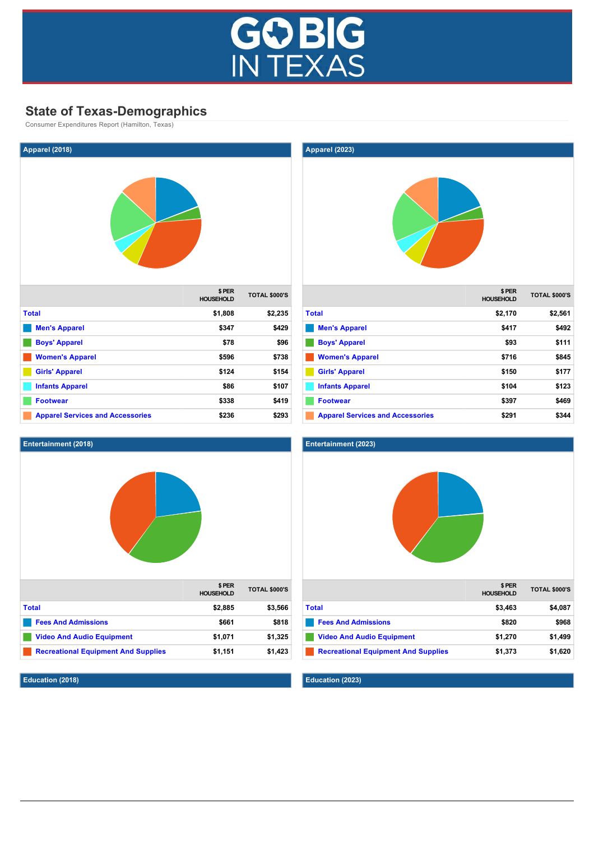

# **State of Texas-Demographics**

Consumer Expenditures Report (Hamilton, Texas)

| Apparel (2018)                          |                           |                      |
|-----------------------------------------|---------------------------|----------------------|
|                                         |                           |                      |
|                                         | \$PER<br><b>HOUSEHOLD</b> | <b>TOTAL \$000'S</b> |
| <b>Total</b>                            | \$1,808                   | \$2,235              |
| <b>Men's Apparel</b>                    | \$347                     | \$429                |
| <b>Boys' Apparel</b>                    | \$78                      | \$96                 |
| <b>Women's Apparel</b>                  | \$596                     | \$738                |
| <b>Girls' Apparel</b>                   | \$124                     | \$154                |
| <b>Infants Apparel</b>                  | \$86                      | \$107                |
| <b>Footwear</b>                         | \$338                     | \$419                |
| <b>Apparel Services and Accessories</b> | \$236                     | \$293                |



## **Education (2018)**



| <b>Men's Apparel</b>                    | \$417 | \$492 |
|-----------------------------------------|-------|-------|
| <b>Boys' Apparel</b>                    | \$93  | \$111 |
| <b>Women's Apparel</b>                  | \$716 | \$845 |
| <b>Girls' Apparel</b>                   | \$150 | \$177 |
| <b>Infants Apparel</b>                  | \$104 | \$123 |
| <b>Footwear</b>                         | \$397 | \$469 |
| <b>Apparel Services and Accessories</b> | \$291 | \$344 |



| <b>Fees And Admissions</b>                 | \$820   | \$968   |
|--------------------------------------------|---------|---------|
| <b>Video And Audio Equipment</b>           | \$1.270 | \$1.499 |
| <b>Recreational Equipment And Supplies</b> | \$1.373 | \$1.620 |

**Education (2023)**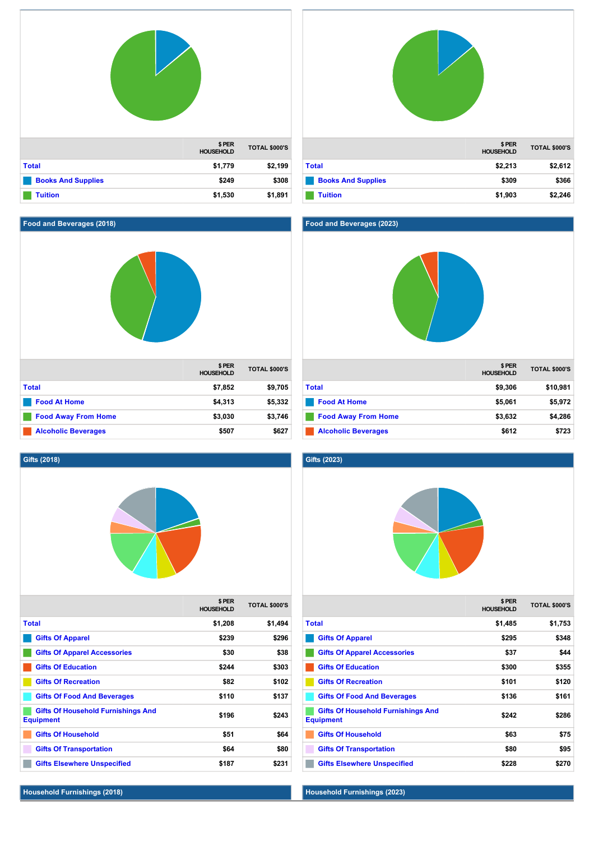|                           | \$PER<br><b>HOUSEHOLD</b> | <b>TOTAL \$000'S</b> |
|---------------------------|---------------------------|----------------------|
| <b>Total</b>              | \$1,779                   | \$2,199              |
| <b>Books And Supplies</b> | \$249                     | \$308                |
| <b>Tuition</b>            | \$1,530                   | \$1,891              |

# **Food and Beverages (2018)**



# **\$ PER HOUSEHOLD TOTAL \$000'S [Total](http://texas.zoomprospector.com/#) \$2,213 \$2,612 [Books And Supplies](http://texas.zoomprospector.com/#) \$309 \$366 [Tuition](http://texas.zoomprospector.com/#) \$1,903 \$2,246**

# **Food and Beverages (2023)**



|                            | \$ PER<br><b>HOUSEHOLD</b> | <b>TOTAL \$000'S</b> |
|----------------------------|----------------------------|----------------------|
| <b>Total</b>               | \$9,306                    | \$10,981             |
| <b>Food At Home</b>        | \$5.061                    | \$5,972              |
| <b>Food Away From Home</b> | \$3,632                    | \$4,286              |
| <b>Alcoholic Beverages</b> | \$612                      | \$723                |

## **Gifts (2018)**



|       |                                                               | \$ PER<br><b>HOUSEHOLD</b> | <b>TOTAL \$000'S</b> |
|-------|---------------------------------------------------------------|----------------------------|----------------------|
| Total |                                                               | \$1,208                    | \$1,494              |
|       | <b>Gifts Of Apparel</b>                                       | \$239                      | \$296                |
|       | <b>Gifts Of Apparel Accessories</b>                           | \$30                       | \$38                 |
|       | <b>Gifts Of Education</b>                                     | \$244                      | \$303                |
|       | <b>Gifts Of Recreation</b>                                    | \$82                       | \$102                |
|       | <b>Gifts Of Food And Beverages</b>                            | \$110                      | \$137                |
|       | <b>Gifts Of Household Furnishings And</b><br><b>Equipment</b> | \$196                      | \$243                |
|       | <b>Gifts Of Household</b>                                     | \$51                       | \$64                 |
|       | <b>Gifts Of Transportation</b>                                | \$64                       | \$80                 |
|       | <b>Gifts Elsewhere Unspecified</b>                            | \$187                      | \$231                |

# **Gifts (2023)**



| \$ PER    | <b>TOTAL \$000'S</b> |
|-----------|----------------------|
| Household |                      |

| <b>Total</b>                                                  | \$1,485 | \$1,753 |
|---------------------------------------------------------------|---------|---------|
| <b>Gifts Of Apparel</b>                                       | \$295   | \$348   |
| <b>Gifts Of Apparel Accessories</b>                           | \$37    | \$44    |
| <b>Gifts Of Education</b>                                     | \$300   | \$355   |
| <b>Gifts Of Recreation</b>                                    | \$101   | \$120   |
| <b>Gifts Of Food And Beverages</b>                            | \$136   | \$161   |
| <b>Gifts Of Household Furnishings And</b><br><b>Equipment</b> | \$242   | \$286   |
| <b>Gifts Of Household</b>                                     | \$63    | \$75    |
| <b>Gifts Of Transportation</b>                                | \$80    | \$95    |
| <b>Gifts Elsewhere Unspecified</b>                            | \$228   | \$270   |

# **Household Furnishings (2018)**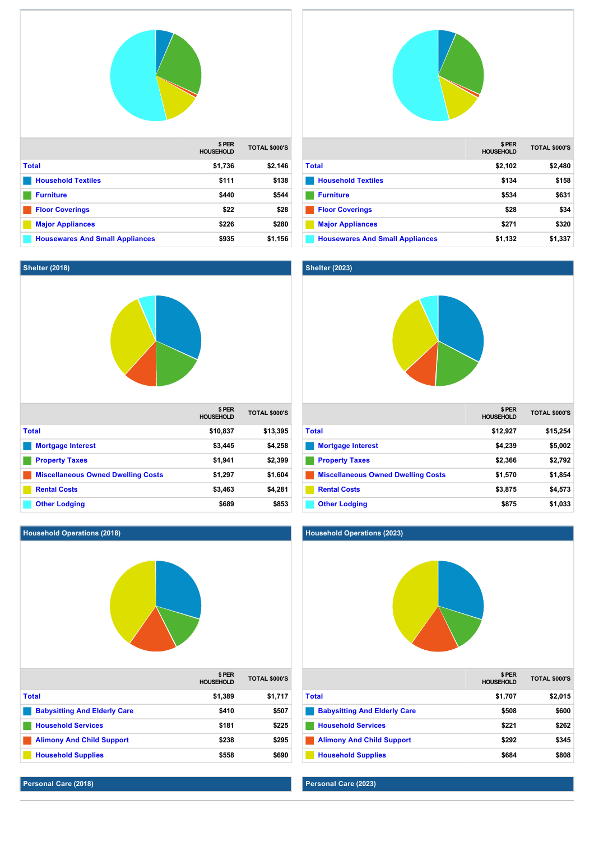

**[Major Appliances](http://texas.zoomprospector.com/#) \$226 \$280 [Housewares And Small Appliances](http://texas.zoomprospector.com/#) \$935 \$1,156**

|                                        | \$PER<br><b>HOUSEHOLD</b> | <b>TOTAL \$000'S</b> |
|----------------------------------------|---------------------------|----------------------|
| <b>Total</b>                           | \$2,102                   | \$2,480              |
| <b>Household Textiles</b>              | \$134                     | \$158                |
| <b>Furniture</b>                       | \$534                     | \$631                |
| <b>Floor Coverings</b>                 | \$28                      | \$34                 |
| <b>Major Appliances</b>                | \$271                     | \$320                |
| <b>Housewares And Small Appliances</b> | \$1,132                   | \$1,337              |

# **Shelter (2023)**



|                                           | \$ PER<br><b>HOUSEHOLD</b> | <b>TOTAL \$000'S</b> |
|-------------------------------------------|----------------------------|----------------------|
| <b>Total</b>                              | \$12,927                   | \$15,254             |
| <b>Mortgage Interest</b>                  | \$4,239                    | \$5,002              |
| <b>Property Taxes</b>                     | \$2,366                    | \$2,792              |
| <b>Miscellaneous Owned Dwelling Costs</b> | \$1,570                    | \$1,854              |
| <b>Rental Costs</b>                       | \$3,875                    | \$4,573              |
| <b>Other Lodging</b>                      | \$875                      | \$1,033              |

#### **Household Operations (2023)**



**Personal Care (2023)**

# **Shelter (2018)**



**[Other Lodging](http://texas.zoomprospector.com/#) \$689 \$853** 

# **Household Operations (2018)**

|                                     | \$PER<br><b>HOUSEHOLD</b> | <b>TOTAL \$000'S</b> |
|-------------------------------------|---------------------------|----------------------|
| <b>Total</b>                        | \$1,389                   | \$1,717              |
| <b>Babysitting And Elderly Care</b> | \$410                     | \$507                |
| <b>Household Services</b>           | \$181                     | \$225                |
| <b>Alimony And Child Support</b>    | \$238                     | \$295                |
| <b>Household Supplies</b>           | \$558                     | \$690                |

**Personal Care (2018)**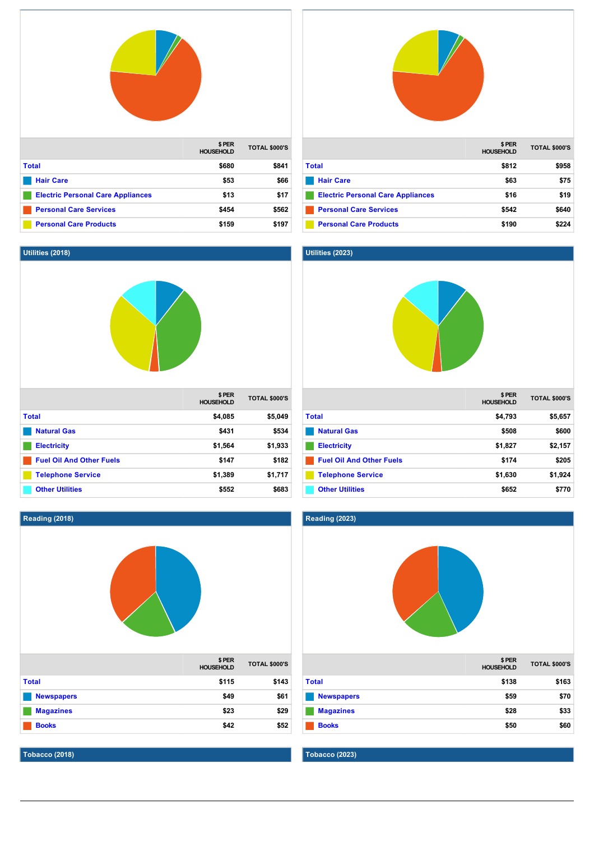



|                                          | \$PER<br><b>HOUSEHOLD</b> | <b>TOTAL \$000'S</b> |
|------------------------------------------|---------------------------|----------------------|
| <b>Total</b>                             | \$812                     | \$958                |
| <b>Hair Care</b>                         | \$63                      | \$75                 |
| <b>Electric Personal Care Appliances</b> | \$16                      | \$19                 |
| <b>Personal Care Services</b>            | \$542                     | \$640                |
| <b>Personal Care Products</b>            | \$190                     | \$224                |

# **Utilities (2023)**



|                                 | \$ PER<br><b>HOUSEHOLD</b> | <b>TOTAL \$000'S</b> |
|---------------------------------|----------------------------|----------------------|
| <b>Total</b>                    | \$4,793                    | \$5,657              |
| <b>Natural Gas</b>              | \$508                      | \$600                |
| <b>Electricity</b>              | \$1,827                    | \$2,157              |
| <b>Fuel Oil And Other Fuels</b> | \$174                      | \$205                |
| <b>Telephone Service</b>        | \$1,630                    | \$1,924              |
| <b>Other Utilities</b>          | \$652                      | \$770                |

# **Reading (2023)**



|                   | <b>HOUSEHOLD</b> | <b>IUIAL SUUU S</b> |
|-------------------|------------------|---------------------|
| <b>Total</b>      | \$138            | \$163               |
| <b>Newspapers</b> | \$59             | \$70                |
| <b>Magazines</b>  | \$28             | \$33                |
| <b>Books</b>      | \$50             | \$60                |

**Tobacco (2023)**

**Utilities (2018)**





**Tobacco (2018)**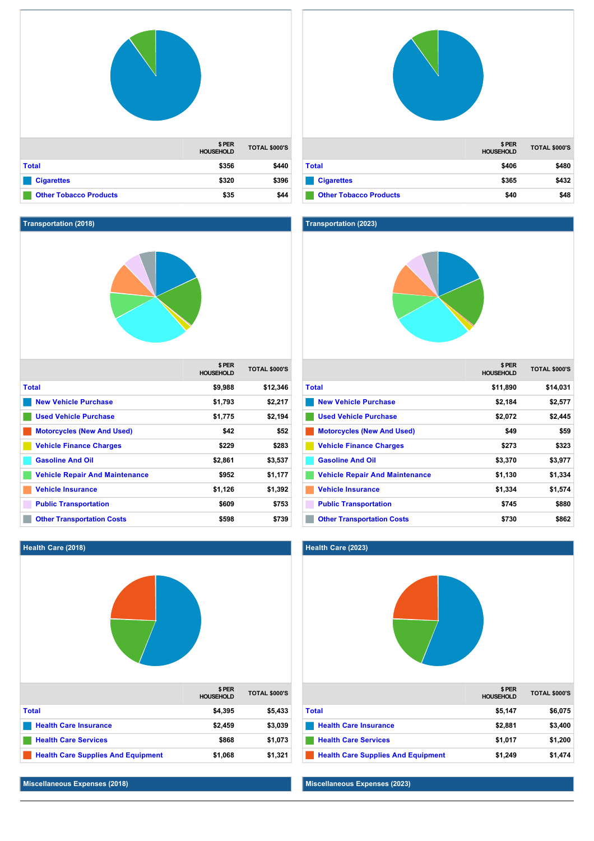|                               | \$PER<br><b>HOUSEHOLD</b> | <b>TOTAL \$000'S</b> |
|-------------------------------|---------------------------|----------------------|
| <b>Total</b>                  | \$356                     | \$440                |
| <b>Cigarettes</b>             | \$320                     | \$396                |
| <b>Other Tobacco Products</b> | \$35                      | \$44                 |

# **Transportation (2018)**



|                                       | \$ PER<br><b>HOUSEHOLD</b> | <b>TOTAL \$000'S</b> |
|---------------------------------------|----------------------------|----------------------|
| Total                                 | \$9,988                    | \$12,346             |
| <b>New Vehicle Purchase</b>           | \$1,793                    | \$2,217              |
| <b>Used Vehicle Purchase</b>          | \$1,775                    | \$2,194              |
| <b>Motorcycles (New And Used)</b>     | \$42                       | \$52                 |
| <b>Vehicle Finance Charges</b>        | \$229                      | \$283                |
| <b>Gasoline And Oil</b>               | \$2,861                    | \$3,537              |
| <b>Vehicle Repair And Maintenance</b> | \$952                      | \$1,177              |
| <b>Vehicle Insurance</b>              | \$1,126                    | \$1,392              |
| <b>Public Transportation</b>          | \$609                      | \$753                |
| <b>Other Transportation Costs</b>     | \$598                      | \$739                |

# **\$ PER HOUSEHOLD TOTAL \$000'S [Total](http://texas.zoomprospector.com/#) \$406 \$480 [Cigarettes](http://texas.zoomprospector.com/#) \$365 \$432 [Other Tobacco Products](http://texas.zoomprospector.com/#) \$40 \$48**

## **Transportation (2023)**



|                                       | \$ PER<br><b>HOUSEHOLD</b> | <b>TOTAL \$000'S</b> |
|---------------------------------------|----------------------------|----------------------|
| Total                                 | \$11,890                   | \$14,031             |
| <b>New Vehicle Purchase</b>           | \$2,184                    | \$2,577              |
| <b>Used Vehicle Purchase</b>          | \$2,072                    | \$2,445              |
| <b>Motorcycles (New And Used)</b>     | \$49                       | \$59                 |
| <b>Vehicle Finance Charges</b>        | \$273                      | \$323                |
| <b>Gasoline And Oil</b>               | \$3,370                    | \$3,977              |
| <b>Vehicle Repair And Maintenance</b> | \$1,130                    | \$1,334              |
| <b>Vehicle Insurance</b>              | \$1,334                    | \$1,574              |
| <b>Public Transportation</b>          | \$745                      | \$880                |
| <b>Other Transportation Costs</b>     | \$730                      | \$862                |

# **Health Care (2018)**

|                                           | \$PER<br><b>HOUSEHOLD</b> | <b>TOTAL \$000'S</b> |
|-------------------------------------------|---------------------------|----------------------|
| <b>Total</b>                              | \$4,395                   | \$5,433              |
| <b>Health Care Insurance</b>              | \$2,459                   | \$3,039              |
| <b>Health Care Services</b>               | \$868                     | \$1,073              |
| <b>Health Care Supplies And Equipment</b> | \$1,068                   | \$1,321              |

# **Health Care (2023)**



# **Miscellaneous Expenses (2023)**

# **Miscellaneous Expenses (2018)**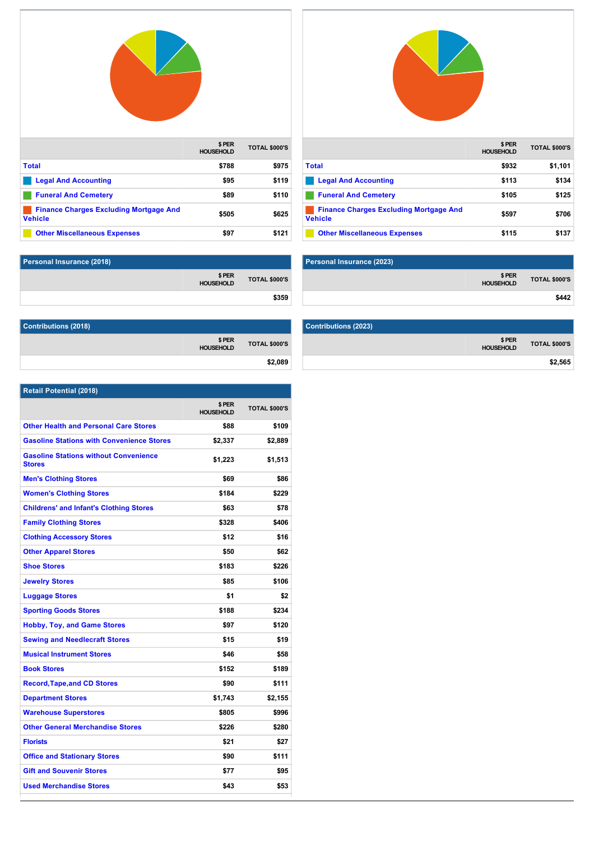

|                                                                 | \$ PER<br><b>HOUSEHOLD</b> | <b>TOTAL \$000'S</b> |
|-----------------------------------------------------------------|----------------------------|----------------------|
| <b>Total</b>                                                    | \$788                      | \$975                |
| <b>Legal And Accounting</b>                                     | \$95                       | \$119                |
| <b>Funeral And Cemetery</b>                                     | \$89                       | \$110                |
| <b>Finance Charges Excluding Mortgage And</b><br><b>Vehicle</b> | \$505                      | \$625                |
| <b>Other Miscellaneous Expenses</b>                             | \$97                       | \$121                |



|                                                                 | \$ PER<br><b>HOUSEHOLD</b> | <b>TOTAL \$000'S</b> |
|-----------------------------------------------------------------|----------------------------|----------------------|
| <b>Total</b>                                                    | \$932                      | \$1,101              |
| <b>Legal And Accounting</b>                                     | \$113                      | \$134                |
| <b>Funeral And Cemetery</b>                                     | \$105                      | \$125                |
| <b>Finance Charges Excluding Mortgage And</b><br><b>Vehicle</b> | \$597                      | \$706                |
| <b>Other Miscellaneous Expenses</b>                             | \$115                      | \$137                |

| Personal Insurance (2018) |                      | Personal Insurance (2023) |
|---------------------------|----------------------|---------------------------|
|                           |                      |                           |
| PER\$<br>HOUSEHOLD        | <b>TOTAL \$000'S</b> |                           |
|                           | \$359                |                           |

| Contributions (2018)       |                      |
|----------------------------|----------------------|
| \$ PER<br><b>HOUSEHOLD</b> | <b>TOTAL \$000'S</b> |
|                            | \$2,089              |

|                      | \$ PER<br><b>HOUSEHOLD</b> | <b>TOTAL \$000'S</b> |
|----------------------|----------------------------|----------------------|
|                      |                            | \$442                |
|                      |                            |                      |
| Contributions (2023) |                            |                      |

| Contributions (2023) |                            |                      |
|----------------------|----------------------------|----------------------|
|                      | \$ PER<br><b>HOUSEHOLD</b> | <b>TOTAL \$000'S</b> |
|                      |                            | \$2,565              |

| <b>Retail Potential (2018)</b>                                |                           |                      |
|---------------------------------------------------------------|---------------------------|----------------------|
|                                                               | \$PER<br><b>HOUSEHOLD</b> | <b>TOTAL \$000'S</b> |
| <b>Other Health and Personal Care Stores</b>                  | \$88                      | \$109                |
| <b>Gasoline Stations with Convenience Stores</b>              | \$2,337                   | \$2,889              |
| <b>Gasoline Stations without Convenience</b><br><b>Stores</b> | \$1,223                   | \$1,513              |
| <b>Men's Clothing Stores</b>                                  | \$69                      | \$86                 |
| <b>Women's Clothing Stores</b>                                | \$184                     | \$229                |
| <b>Childrens' and Infant's Clothing Stores</b>                | \$63                      | \$78                 |
| <b>Family Clothing Stores</b>                                 | \$328                     | \$406                |
| <b>Clothing Accessory Stores</b>                              | \$12                      | \$16                 |
| <b>Other Apparel Stores</b>                                   | \$50                      | \$62                 |
| <b>Shoe Stores</b>                                            | \$183                     | \$226                |
| <b>Jewelry Stores</b>                                         | \$85                      | \$106                |
| <b>Luggage Stores</b>                                         | \$1                       | \$2                  |
| <b>Sporting Goods Stores</b>                                  | \$188                     | \$234                |
| <b>Hobby, Toy, and Game Stores</b>                            | \$97                      | \$120                |
| <b>Sewing and Needlecraft Stores</b>                          | \$15                      | \$19                 |
| <b>Musical Instrument Stores</b>                              | \$46                      | \$58                 |
| <b>Book Stores</b>                                            | \$152                     | \$189                |
| <b>Record, Tape, and CD Stores</b>                            | \$90                      | \$111                |
| <b>Department Stores</b>                                      | \$1,743                   | \$2,155              |
| <b>Warehouse Superstores</b>                                  | \$805                     | \$996                |
| <b>Other General Merchandise Stores</b>                       | \$226                     | \$280                |
| <b>Florists</b>                                               | \$21                      | \$27                 |
| <b>Office and Stationary Stores</b>                           | \$90                      | \$111                |
| <b>Gift and Souvenir Stores</b>                               | \$77                      | \$95                 |
| <b>Used Merchandise Stores</b>                                | \$43                      | \$53                 |

**Pet and Pet Supply Stores \$206 \$255**